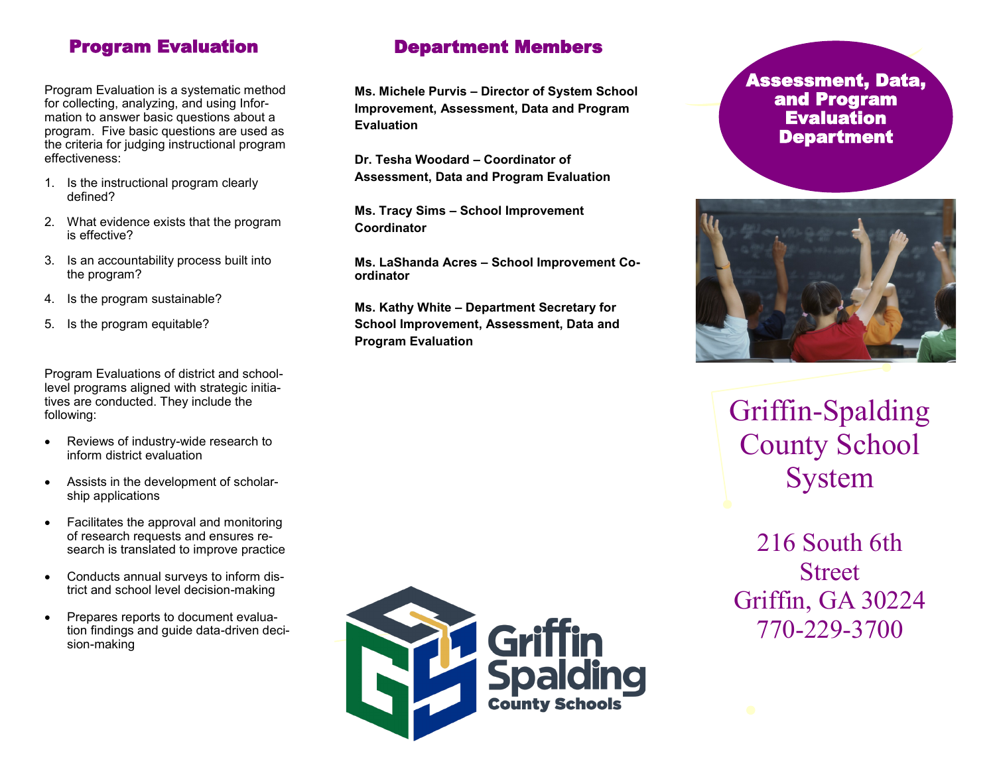# Program Evaluation

Program Evaluation is a systematic method for collecting, analyzing, and using Information to answer basic questions about a program. Five basic questions are used as the criteria for judging instructional program effectiveness:

- 1. Is the instructional program clearly defined?
- 2. What evidence exists that the program is effective?
- 3. Is an accountability process built into the program?
- 4. Is the program sustainable?
- 5. Is the program equitable?

Program Evaluations of district and schoollevel programs aligned with strategic initiatives are conducted. They include the following:

- Reviews of industry-wide research to inform district evaluation
- Assists in the development of scholarship applications
- Facilitates the approval and monitoring of research requests and ensures research is translated to improve practice
- Conducts annual surveys to inform district and school level decision-making
- Prepares reports to document evaluation findings and guide data-driven decision-making

# Department Members

**Ms. Michele Purvis – Director of System School Improvement, Assessment, Data and Program Evaluation** 

**Dr. Tesha Woodard – Coordinator of Assessment, Data and Program Evaluation** 

**Ms. Tracy Sims – School Improvement Coordinator** 

**Ms. LaShanda Acres – School Improvement Coordinator** 

**Ms. Kathy White – Department Secretary for School Improvement, Assessment, Data and Program Evaluation**





Griffin-Spalding County School System

216 South 6th **Street** Griffin, GA 30224 770-229-3700